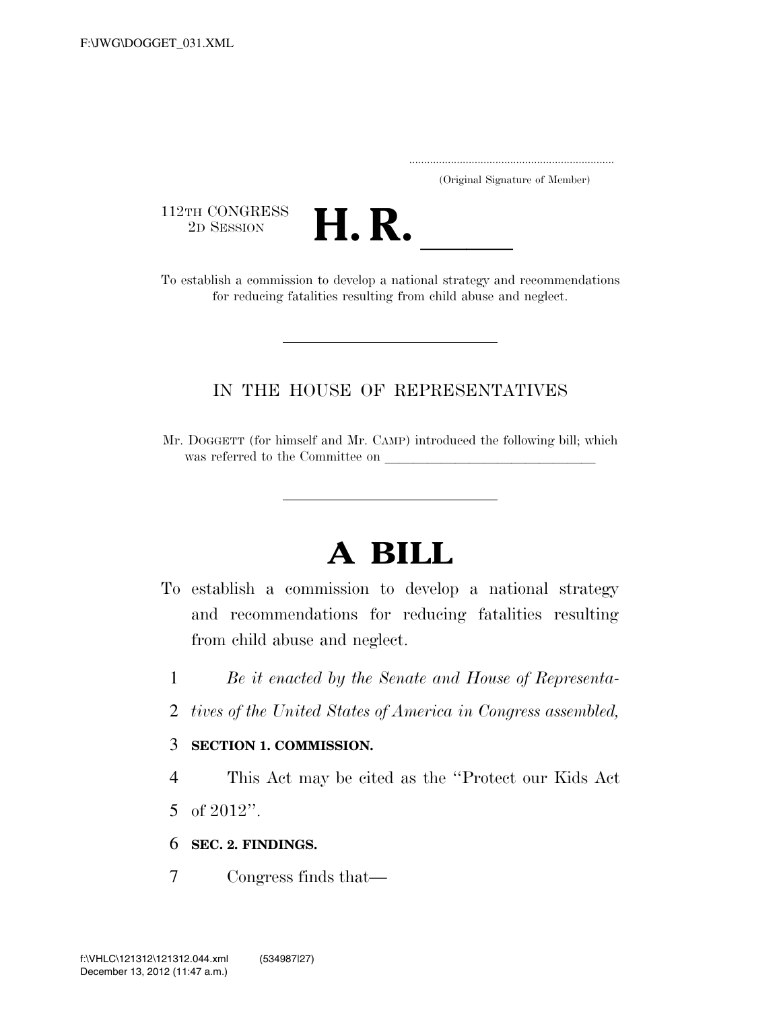| (Original Signature of Member) |  |
|--------------------------------|--|

112TH CONGRESS<br>2D SESSION



TI2TH CONGRESS<br>
2D SESSION<br>
To establish a commission to develop a national strategy and recommendations for reducing fatalities resulting from child abuse and neglect.

### IN THE HOUSE OF REPRESENTATIVES

Mr. DOGGETT (for himself and Mr. CAMP) introduced the following bill; which was referred to the Committee on

# **A BILL**

- To establish a commission to develop a national strategy and recommendations for reducing fatalities resulting from child abuse and neglect.
	- 1 *Be it enacted by the Senate and House of Representa-*
	- 2 *tives of the United States of America in Congress assembled,*

#### 3 **SECTION 1. COMMISSION.**

- 4 This Act may be cited as the ''Protect our Kids Act 5 of 2012''.
- 6 **SEC. 2. FINDINGS.**
- 7 Congress finds that—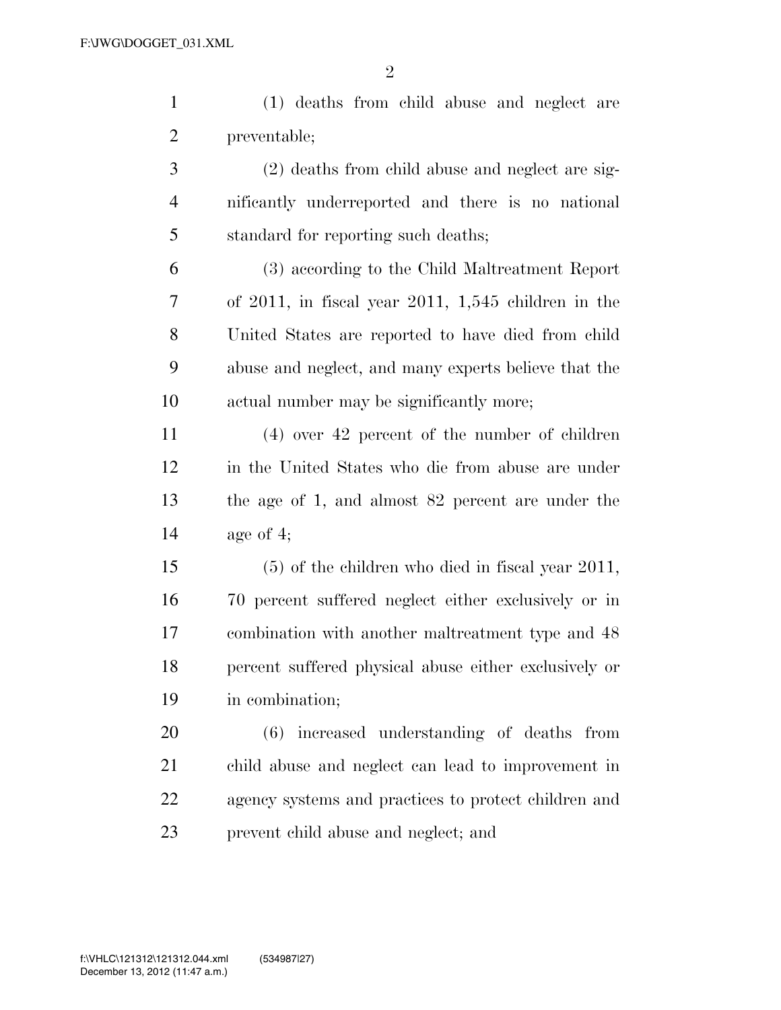(1) deaths from child abuse and neglect are preventable;

 (2) deaths from child abuse and neglect are sig- nificantly underreported and there is no national standard for reporting such deaths;

 (3) according to the Child Maltreatment Report of 2011, in fiscal year 2011, 1,545 children in the United States are reported to have died from child abuse and neglect, and many experts believe that the actual number may be significantly more;

 (4) over 42 percent of the number of children in the United States who die from abuse are under the age of 1, and almost 82 percent are under the age of 4;

 (5) of the children who died in fiscal year 2011, 70 percent suffered neglect either exclusively or in combination with another maltreatment type and 48 percent suffered physical abuse either exclusively or in combination;

 (6) increased understanding of deaths from child abuse and neglect can lead to improvement in agency systems and practices to protect children and prevent child abuse and neglect; and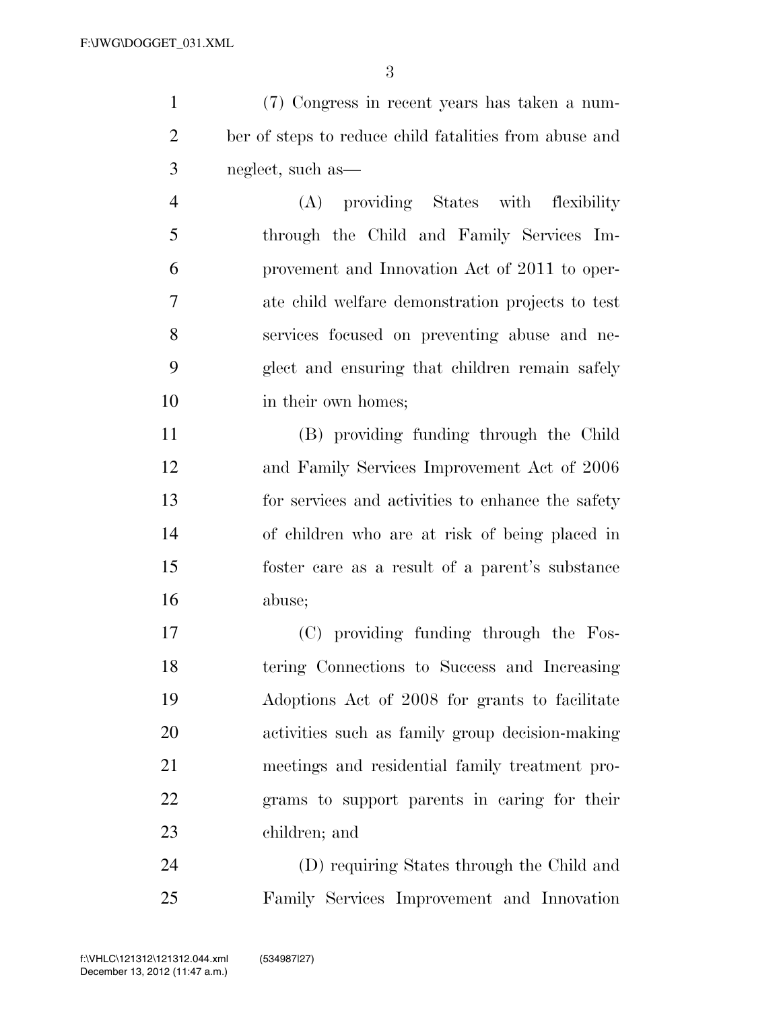(7) Congress in recent years has taken a num- ber of steps to reduce child fatalities from abuse and neglect, such as—

 (A) providing States with flexibility through the Child and Family Services Im- provement and Innovation Act of 2011 to oper- ate child welfare demonstration projects to test services focused on preventing abuse and ne- glect and ensuring that children remain safely 10 in their own homes:

 (B) providing funding through the Child and Family Services Improvement Act of 2006 for services and activities to enhance the safety of children who are at risk of being placed in foster care as a result of a parent's substance abuse;

 (C) providing funding through the Fos- tering Connections to Success and Increasing Adoptions Act of 2008 for grants to facilitate activities such as family group decision-making meetings and residential family treatment pro- grams to support parents in caring for their children; and

 (D) requiring States through the Child and Family Services Improvement and Innovation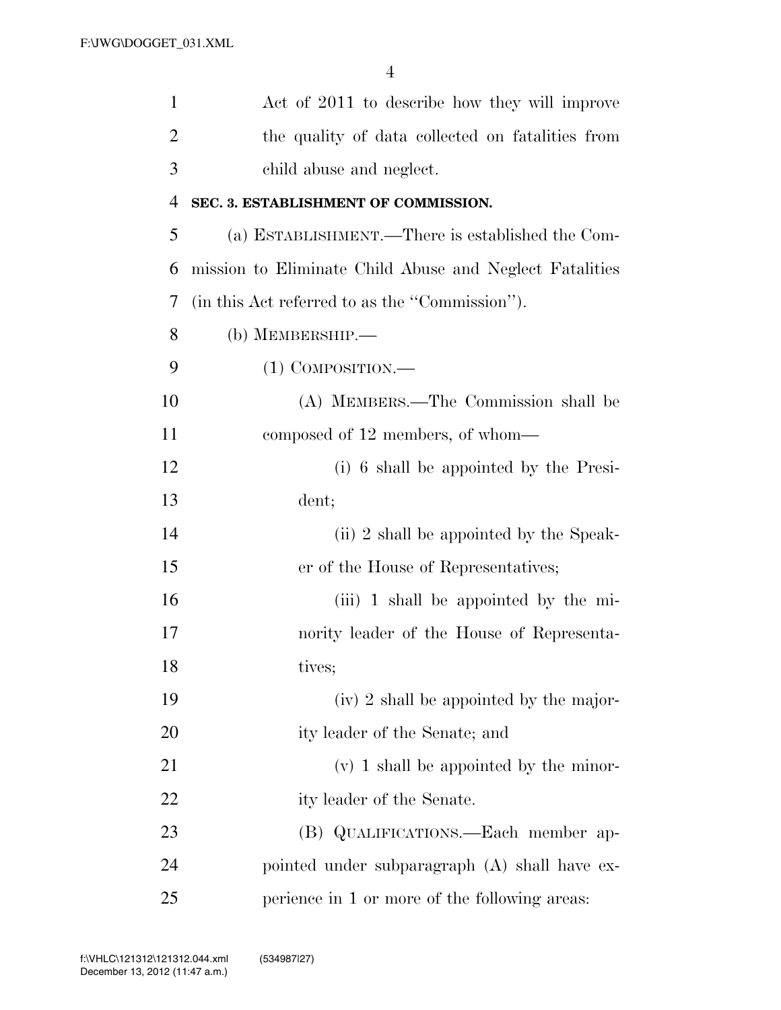| $\mathbf{1}$   | Act of 2011 to describe how they will improve           |
|----------------|---------------------------------------------------------|
| $\overline{2}$ | the quality of data collected on fatalities from        |
| 3              | child abuse and neglect.                                |
| 4              | SEC. 3. ESTABLISHMENT OF COMMISSION.                    |
| 5              | (a) ESTABLISHMENT.—There is established the Com-        |
| 6              | mission to Eliminate Child Abuse and Neglect Fatalities |
| 7              | (in this Act referred to as the "Commission").          |
| 8              | (b) MEMBERSHIP.-                                        |
| 9              | $(1)$ COMPOSITION.—                                     |
| 10             | (A) MEMBERS.—The Commission shall be                    |
| 11             | composed of 12 members, of whom—                        |
| 12             | (i) 6 shall be appointed by the Presi-                  |
| 13             | dent;                                                   |
| 14             | (ii) 2 shall be appointed by the Speak-                 |
| 15             | er of the House of Representatives;                     |
| 16             | (iii) 1 shall be appointed by the mi-                   |
| 17             | nority leader of the House of Representa-               |
| 18             | tives;                                                  |
| 19             | (iv) 2 shall be appointed by the major-                 |
| 20             | ity leader of the Senate; and                           |
| 21             | $(v)$ 1 shall be appointed by the minor-                |
| 22             | ity leader of the Senate.                               |
| 23             | (B) QUALIFICATIONS.—Each member ap-                     |
| 24             | pointed under subparagraph (A) shall have ex-           |
| 25             | perience in 1 or more of the following areas:           |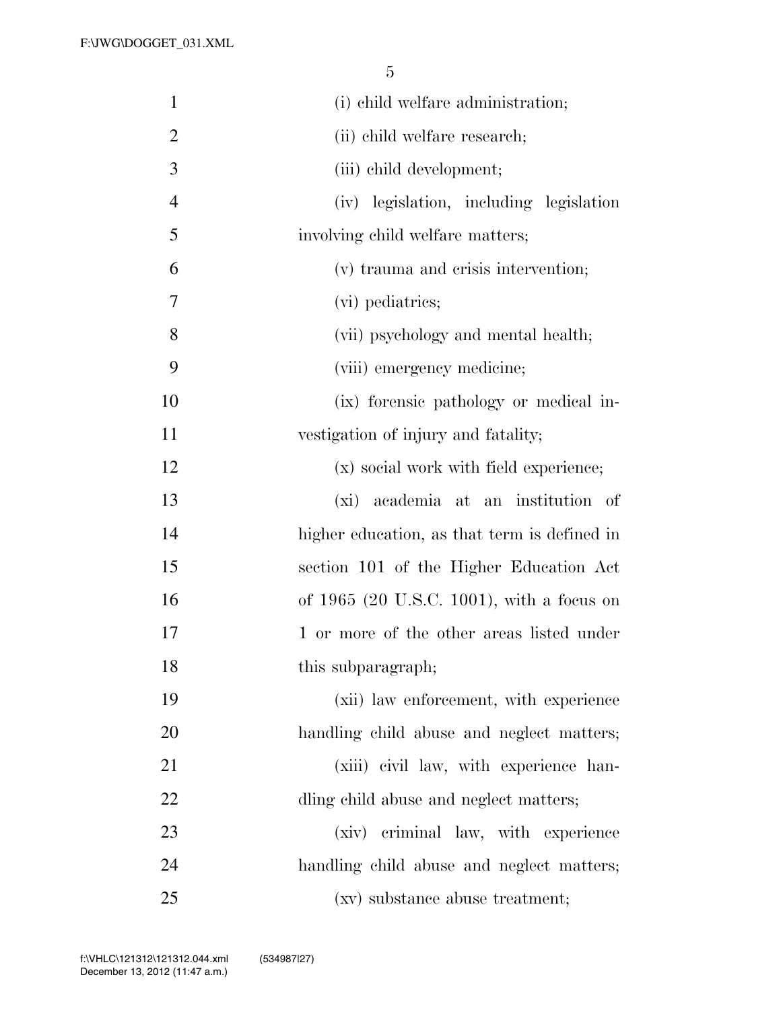| $\mathbf{1}$   | (i) child welfare administration;            |
|----------------|----------------------------------------------|
| $\overline{2}$ | (ii) child welfare research;                 |
| 3              | (iii) child development;                     |
| $\overline{4}$ | (iv) legislation, including legislation      |
| 5              | involving child welfare matters;             |
| 6              | (v) trauma and crisis intervention;          |
| 7              | (vi) pediatrics;                             |
| 8              | (vii) psychology and mental health;          |
| 9              | (viii) emergency medicine;                   |
| 10             | (ix) forensic pathology or medical in-       |
| 11             | vestigation of injury and fatality;          |
| 12             | (x) social work with field experience;       |
| 13             | (xi) academia at an institution of           |
| 14             | higher education, as that term is defined in |
| 15             | section 101 of the Higher Education Act      |
| 16             | of 1965 (20 U.S.C. 1001), with a focus on    |
| 17             | 1 or more of the other areas listed under    |
| 18             | this subparagraph;                           |
| 19             | (xii) law enforcement, with experience       |
| 20             | handling child abuse and neglect matters;    |
| 21             | (xiii) civil law, with experience han-       |
| 22             | dling child abuse and neglect matters;       |
| 23             | (xiv) criminal law, with experience          |
| 24             | handling child abuse and neglect matters;    |
| 25             | (xv) substance abuse treatment;              |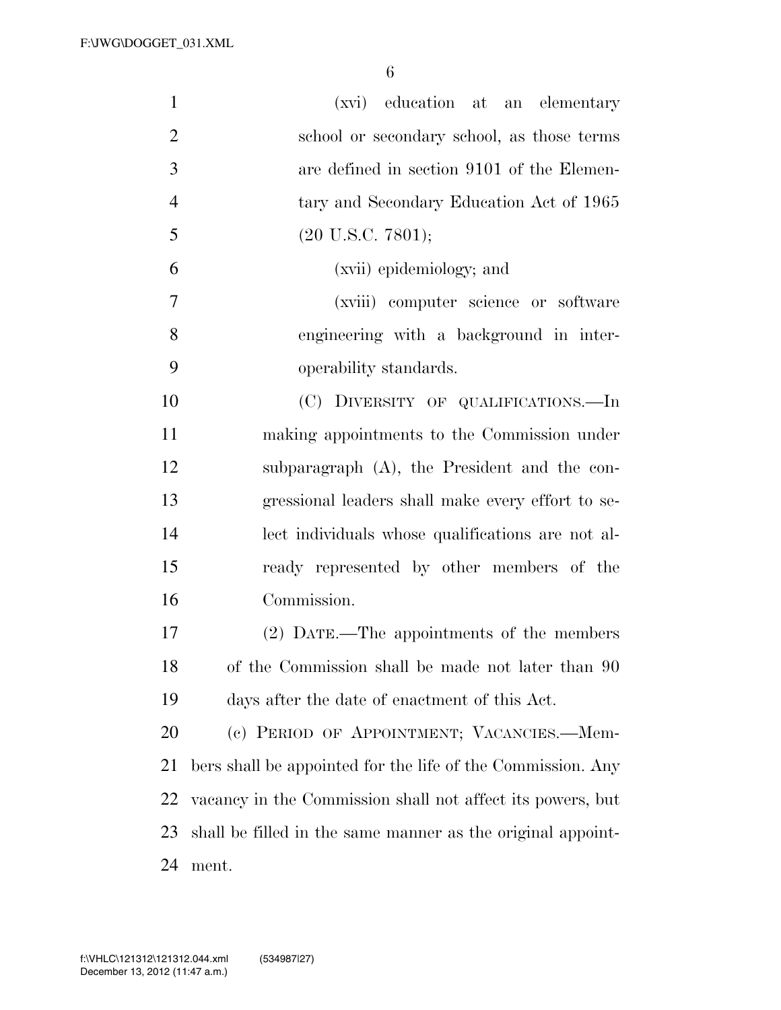| $\mathbf{1}$   | (xvi) education at an elementary                            |
|----------------|-------------------------------------------------------------|
| $\overline{2}$ | school or secondary school, as those terms                  |
| 3              | are defined in section 9101 of the Elemen-                  |
| $\overline{4}$ | tary and Secondary Education Act of 1965                    |
| 5              | $(20 \text{ U.S.C. } 7801);$                                |
| 6              | (xvii) epidemiology; and                                    |
| 7              | (xviii) computer science or software                        |
| 8              | engineering with a background in inter-                     |
| 9              | operability standards.                                      |
| 10             | (C) DIVERSITY OF QUALIFICATIONS.—In                         |
| 11             | making appointments to the Commission under                 |
| 12             | subparagraph $(A)$ , the President and the con-             |
| 13             | gressional leaders shall make every effort to se-           |
| 14             | lect individuals whose qualifications are not al-           |
| 15             | ready represented by other members of the                   |
| 16             | Commission.                                                 |
| 17             | (2) DATE.—The appointments of the members                   |
| 18             | of the Commission shall be made not later than 90           |
| 19             | days after the date of enactment of this Act.               |
| 20             | (c) PERIOD OF APPOINTMENT; VACANCIES.—Mem-                  |
| 21             | bers shall be appointed for the life of the Commission. Any |
| 22             | vacancy in the Commission shall not affect its powers, but  |
| 23             | shall be filled in the same manner as the original appoint- |
| 24             | ment.                                                       |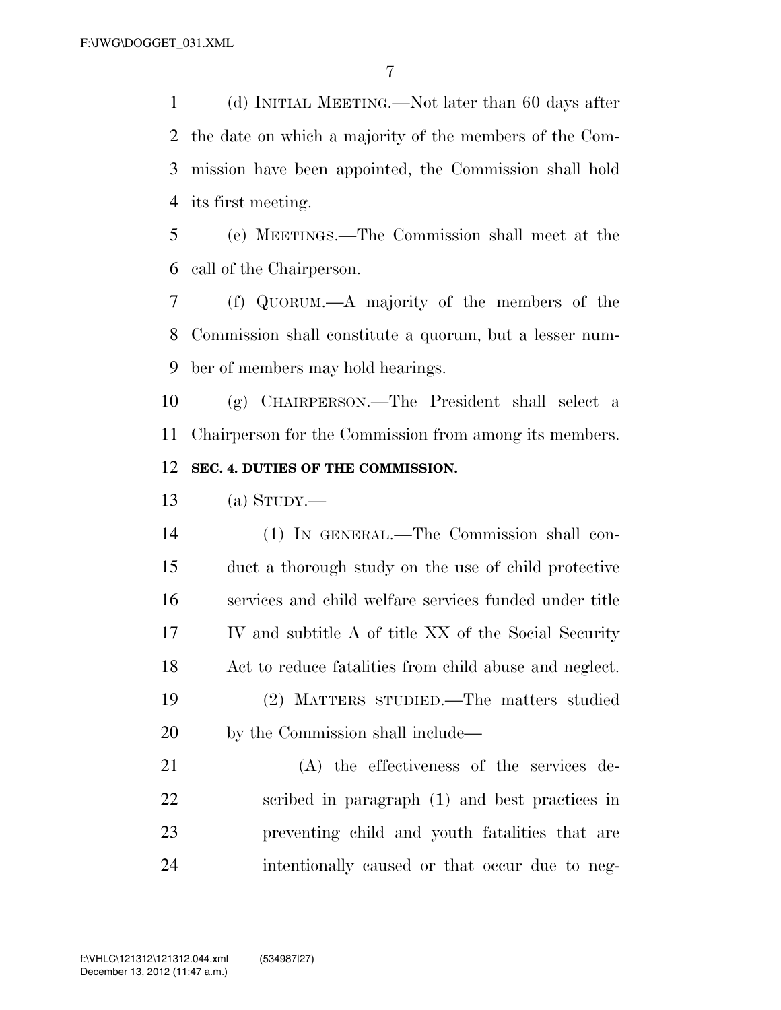(d) INITIAL MEETING.—Not later than 60 days after the date on which a majority of the members of the Com- mission have been appointed, the Commission shall hold its first meeting.

 (e) MEETINGS.—The Commission shall meet at the call of the Chairperson.

 (f) QUORUM.—A majority of the members of the Commission shall constitute a quorum, but a lesser num-ber of members may hold hearings.

 (g) CHAIRPERSON.—The President shall select a Chairperson for the Commission from among its members. **SEC. 4. DUTIES OF THE COMMISSION.** 

(a) STUDY.—

 (1) IN GENERAL.—The Commission shall con- duct a thorough study on the use of child protective services and child welfare services funded under title IV and subtitle A of title XX of the Social Security Act to reduce fatalities from child abuse and neglect. (2) MATTERS STUDIED.—The matters studied by the Commission shall include—

 (A) the effectiveness of the services de- scribed in paragraph (1) and best practices in preventing child and youth fatalities that are intentionally caused or that occur due to neg-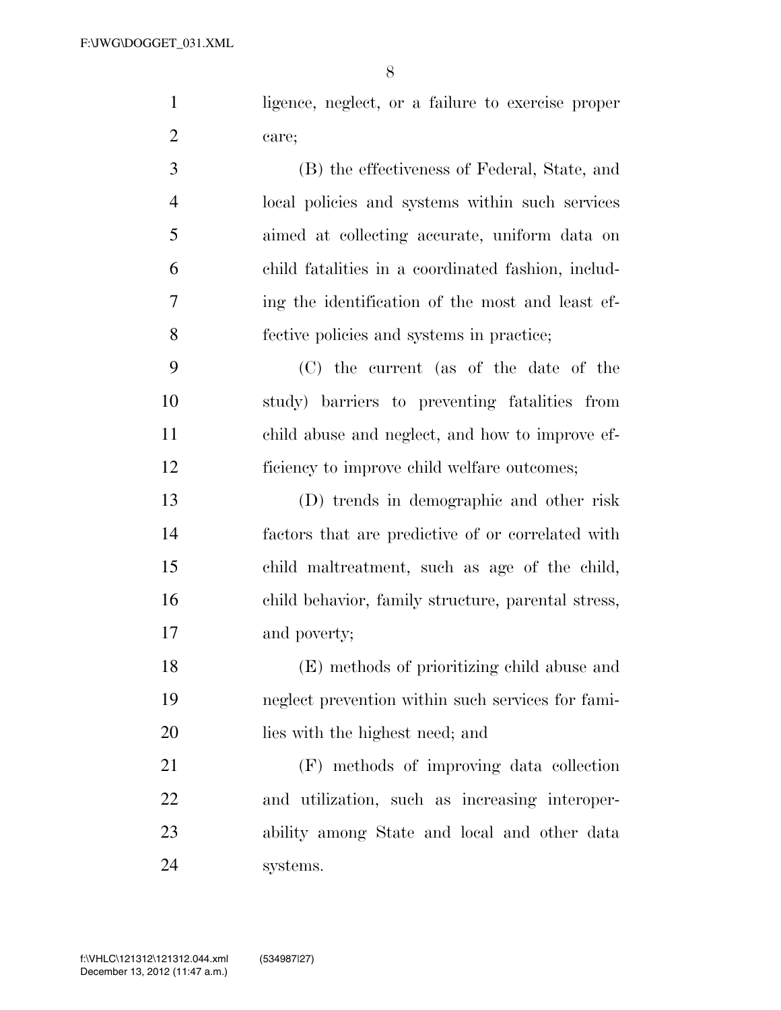1 ligence, neglect, or a failure to exercise proper care;

 (B) the effectiveness of Federal, State, and local policies and systems within such services aimed at collecting accurate, uniform data on child fatalities in a coordinated fashion, includ- ing the identification of the most and least ef-fective policies and systems in practice;

 (C) the current (as of the date of the study) barriers to preventing fatalities from child abuse and neglect, and how to improve ef-ficiency to improve child welfare outcomes;

 (D) trends in demographic and other risk factors that are predictive of or correlated with child maltreatment, such as age of the child, child behavior, family structure, parental stress, and poverty;

 (E) methods of prioritizing child abuse and neglect prevention within such services for fami-lies with the highest need; and

 (F) methods of improving data collection and utilization, such as increasing interoper- ability among State and local and other data systems.

December 13, 2012 (11:47 a.m.) f:\VHLC\121312\121312.044.xml (534987|27)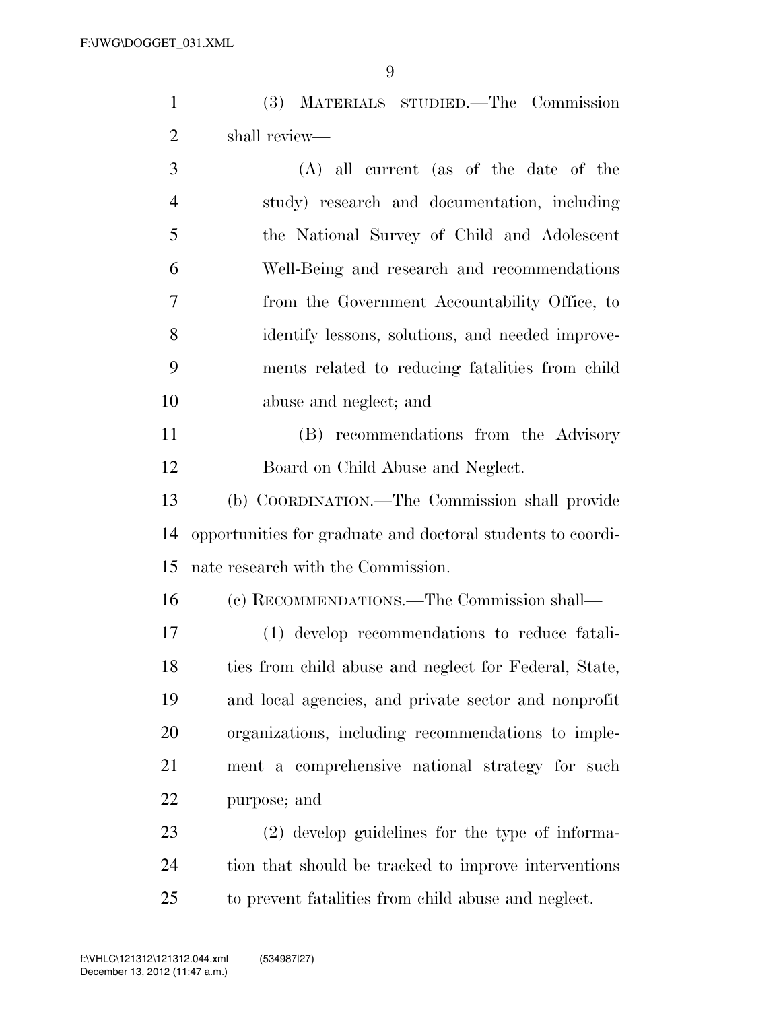(3) MATERIALS STUDIED.—The Commission shall review—

 (A) all current (as of the date of the study) research and documentation, including the National Survey of Child and Adolescent Well-Being and research and recommendations from the Government Accountability Office, to identify lessons, solutions, and needed improve- ments related to reducing fatalities from child abuse and neglect; and

 (B) recommendations from the Advisory Board on Child Abuse and Neglect.

 (b) COORDINATION.—The Commission shall provide opportunities for graduate and doctoral students to coordi-nate research with the Commission.

(c) RECOMMENDATIONS.—The Commission shall—

 (1) develop recommendations to reduce fatali- ties from child abuse and neglect for Federal, State, and local agencies, and private sector and nonprofit organizations, including recommendations to imple- ment a comprehensive national strategy for such purpose; and

 (2) develop guidelines for the type of informa- tion that should be tracked to improve interventions to prevent fatalities from child abuse and neglect.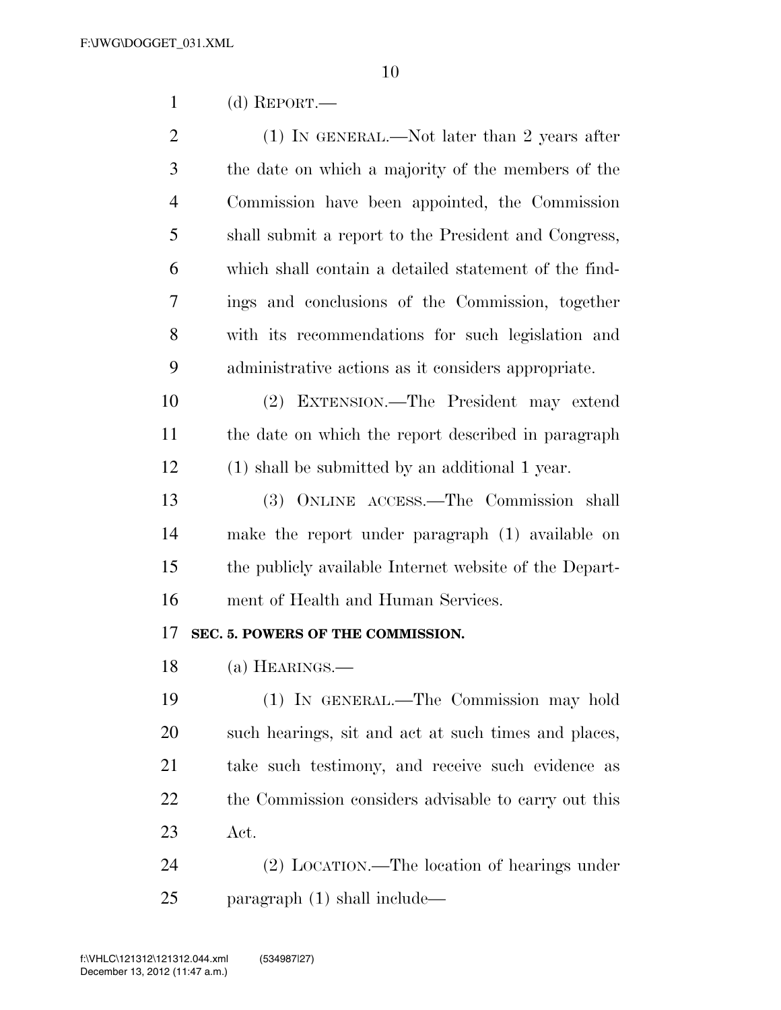(d) REPORT.—

2 (1) IN GENERAL.—Not later than 2 years after the date on which a majority of the members of the Commission have been appointed, the Commission shall submit a report to the President and Congress, which shall contain a detailed statement of the find- ings and conclusions of the Commission, together with its recommendations for such legislation and administrative actions as it considers appropriate.

 (2) EXTENSION.—The President may extend the date on which the report described in paragraph (1) shall be submitted by an additional 1 year.

 (3) ONLINE ACCESS.—The Commission shall make the report under paragraph (1) available on the publicly available Internet website of the Depart-ment of Health and Human Services.

#### **SEC. 5. POWERS OF THE COMMISSION.**

(a) HEARINGS.—

 (1) IN GENERAL.—The Commission may hold such hearings, sit and act at such times and places, take such testimony, and receive such evidence as 22 the Commission considers advisable to carry out this Act.

 (2) LOCATION.—The location of hearings under paragraph (1) shall include—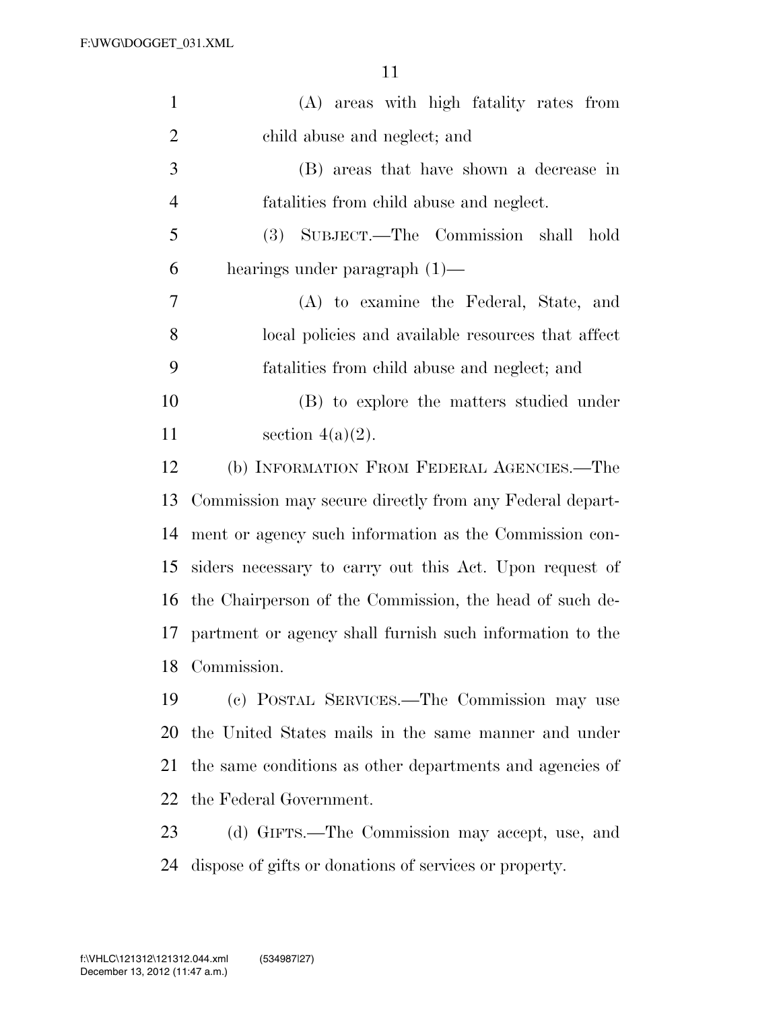| $\mathbf{1}$   | (A) areas with high fatality rates from                  |
|----------------|----------------------------------------------------------|
| $\overline{2}$ | child abuse and neglect; and                             |
| 3              | (B) areas that have shown a decrease in                  |
| $\overline{4}$ | fatalities from child abuse and neglect.                 |
| 5              | (3) SUBJECT.—The Commission shall<br>hold                |
| 6              | hearings under paragraph $(1)$ —                         |
| 7              | (A) to examine the Federal, State, and                   |
| 8              | local policies and available resources that affect       |
| 9              | fatalities from child abuse and neglect; and             |
| 10             | (B) to explore the matters studied under                 |
| 11             | section $4(a)(2)$ .                                      |
| 12             | (b) INFORMATION FROM FEDERAL AGENCIES.—The               |
| 13             | Commission may secure directly from any Federal depart-  |
| 14             | ment or agency such information as the Commission con-   |
| 15             | siders necessary to carry out this Act. Upon request of  |
| 16             | the Chairperson of the Commission, the head of such de-  |
| 17             | partment or agency shall furnish such information to the |
| 18             | Commission.                                              |
| 19             | (c) POSTAL SERVICES.—The Commission may use              |
| 20             | the United States mails in the same manner and under     |
| 21             | the same conditions as other departments and agencies of |
| 22             | the Federal Government.                                  |
| 23             | (d) GIFTS.—The Commission may accept, use, and           |
|                |                                                          |

dispose of gifts or donations of services or property.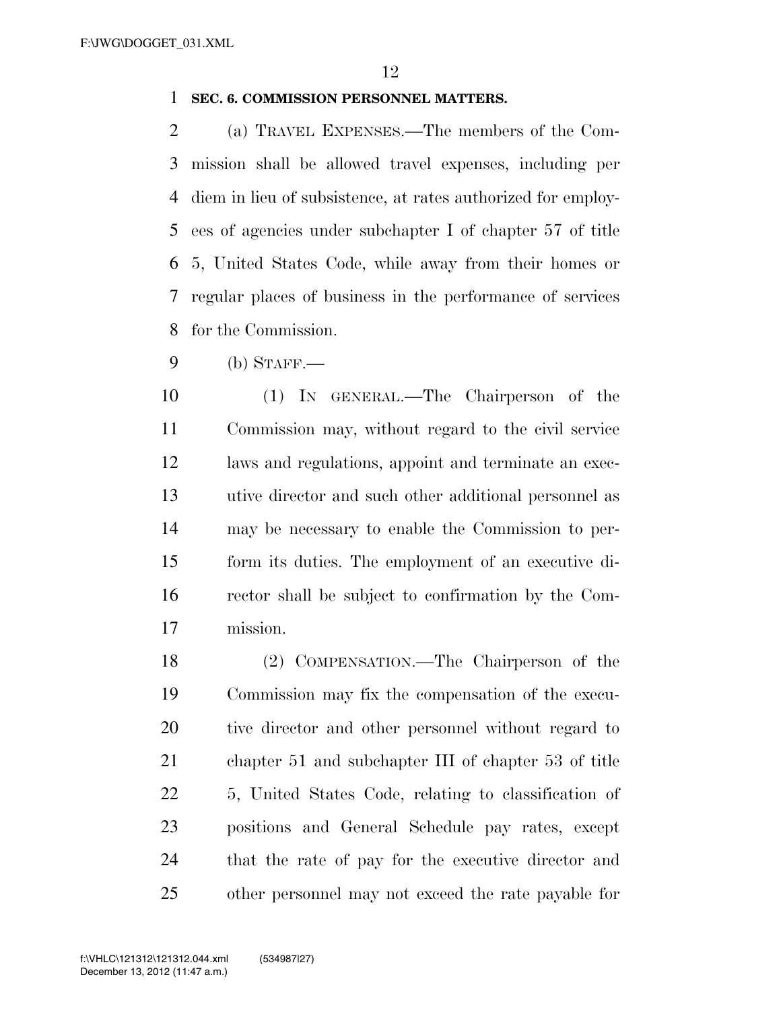#### **SEC. 6. COMMISSION PERSONNEL MATTERS.**

 (a) TRAVEL EXPENSES.—The members of the Com- mission shall be allowed travel expenses, including per diem in lieu of subsistence, at rates authorized for employ- ees of agencies under subchapter I of chapter 57 of title 5, United States Code, while away from their homes or regular places of business in the performance of services for the Commission.

(b) STAFF.—

 (1) IN GENERAL.—The Chairperson of the Commission may, without regard to the civil service laws and regulations, appoint and terminate an exec- utive director and such other additional personnel as may be necessary to enable the Commission to per- form its duties. The employment of an executive di- rector shall be subject to confirmation by the Com-mission.

 (2) COMPENSATION.—The Chairperson of the Commission may fix the compensation of the execu- tive director and other personnel without regard to chapter 51 and subchapter III of chapter 53 of title 5, United States Code, relating to classification of positions and General Schedule pay rates, except that the rate of pay for the executive director and other personnel may not exceed the rate payable for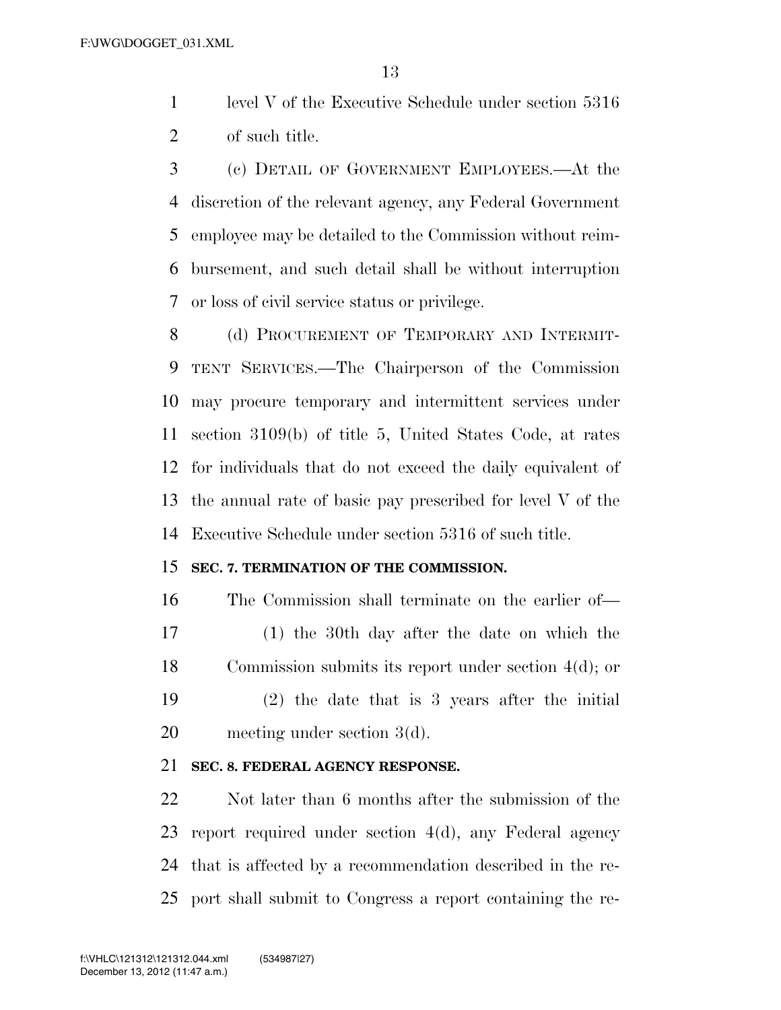level V of the Executive Schedule under section 5316 of such title.

 (c) DETAIL OF GOVERNMENT EMPLOYEES.—At the discretion of the relevant agency, any Federal Government employee may be detailed to the Commission without reim- bursement, and such detail shall be without interruption or loss of civil service status or privilege.

8 (d) PROCUREMENT OF TEMPORARY AND INTERMIT- TENT SERVICES.—The Chairperson of the Commission may procure temporary and intermittent services under section 3109(b) of title 5, United States Code, at rates for individuals that do not exceed the daily equivalent of the annual rate of basic pay prescribed for level V of the Executive Schedule under section 5316 of such title.

#### **SEC. 7. TERMINATION OF THE COMMISSION.**

 The Commission shall terminate on the earlier of— (1) the 30th day after the date on which the Commission submits its report under section 4(d); or (2) the date that is 3 years after the initial meeting under section 3(d).

#### **SEC. 8. FEDERAL AGENCY RESPONSE.**

 Not later than 6 months after the submission of the report required under section 4(d), any Federal agency that is affected by a recommendation described in the re-port shall submit to Congress a report containing the re-